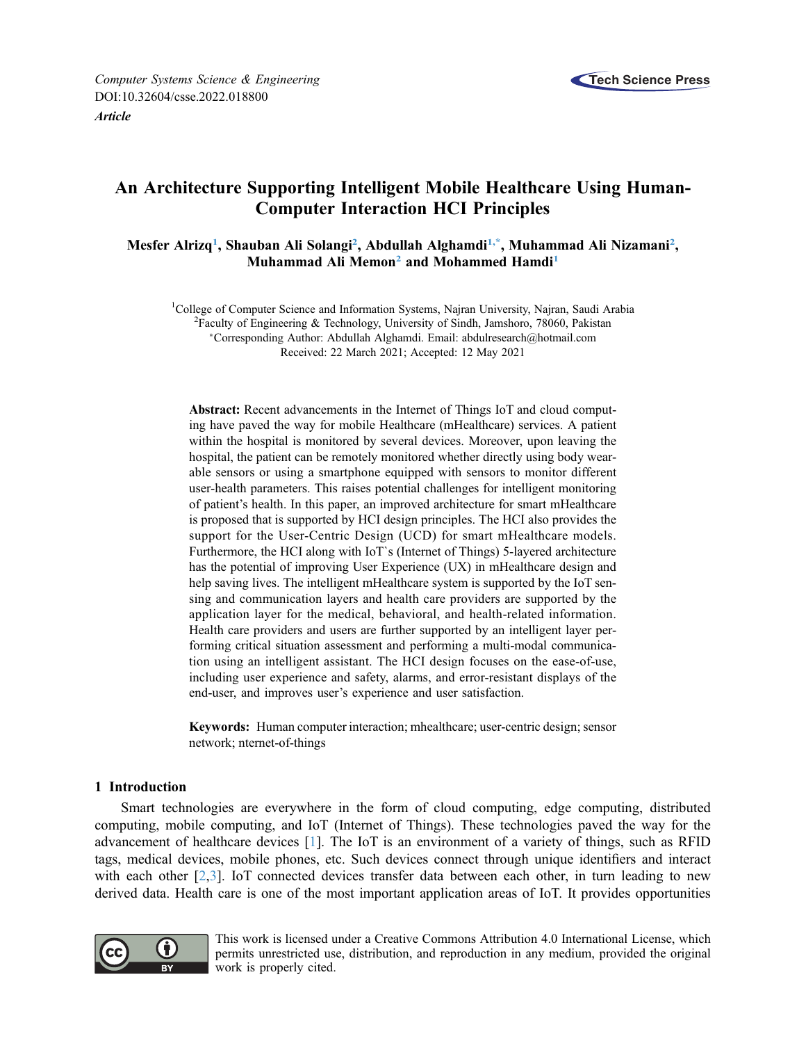

# An Architecture Supporting Intelligent Mobile Healthcare Using Human-Computer Interaction HCI Principles

<span id="page-0-0"></span>Mesfer Alrizq<sup>[1](#page-0-0)</sup>, Shauban Ali Solangi<sup>[2](#page-0-1)</sup>, Abdullah Alghamdi<sup>1,\*</sup>, Muhammad Ali Nizamani<sup>2</sup>, Muhammad Ali Memon<sup>[2](#page-0-1)</sup> and Mohammed Hamdi<sup>1</sup>

<span id="page-0-2"></span><span id="page-0-1"></span><sup>1</sup>College of Computer Science and Information Systems, Najran University, Najran, Saudi Arabia <sup>2</sup> English <sup>2</sup> English <sup>2</sup> English <sup>2</sup> English <sup>2</sup> English <sup>2</sup> English <sup>2</sup> English <sup>2</sup> English <sup>2</sup> English <sup>2</sup> English <sup>2</sup> En  $^{2}$ Faculty of Engineering & Technology, University of Sindh, Jamshoro, 78060, Pakistan Corresponding Author: Abdullah Alghamdi. Email: [abdulresearch@hotmail.com](mailto:abdulresearch@hotmail.com) Received: 22 March 2021; Accepted: 12 May 2021

Abstract: Recent advancements in the Internet of Things IoT and cloud computing have paved the way for mobile Healthcare (mHealthcare) services. A patient within the hospital is monitored by several devices. Moreover, upon leaving the hospital, the patient can be remotely monitored whether directly using body wearable sensors or using a smartphone equipped with sensors to monitor different user-health parameters. This raises potential challenges for intelligent monitoring of patient's health. In this paper, an improved architecture for smart mHealthcare is proposed that is supported by HCI design principles. The HCI also provides the support for the User-Centric Design (UCD) for smart mHealthcare models. Furthermore, the HCI along with IoT`s (Internet of Things) 5-layered architecture has the potential of improving User Experience (UX) in mHealthcare design and help saving lives. The intelligent mHealthcare system is supported by the IoT sensing and communication layers and health care providers are supported by the application layer for the medical, behavioral, and health-related information. Health care providers and users are further supported by an intelligent layer performing critical situation assessment and performing a multi-modal communication using an intelligent assistant. The HCI design focuses on the ease-of-use, including user experience and safety, alarms, and error-resistant displays of the end-user, and improves user's experience and user satisfaction.

Keywords: Human computer interaction; mhealthcare; user-centric design; sensor network; nternet-of-things

# 1 Introduction

Smart technologies are everywhere in the form of cloud computing, edge computing, distributed computing, mobile computing, and IoT (Internet of Things). These technologies paved the way for the advancement of healthcare devices [[1](#page-9-0)]. The IoT is an environment of a variety of things, such as RFID tags, medical devices, mobile phones, etc. Such devices connect through unique identifiers and interact with each other [\[2,](#page-9-1)[3\]](#page-9-2). IoT connected devices transfer data between each other, in turn leading to new derived data. Health care is one of the most important application areas of IoT. It provides opportunities



This work is licensed under a Creative Commons Attribution 4.0 International License, which permits unrestricted use, distribution, and reproduction in any medium, provided the original work is properly cited.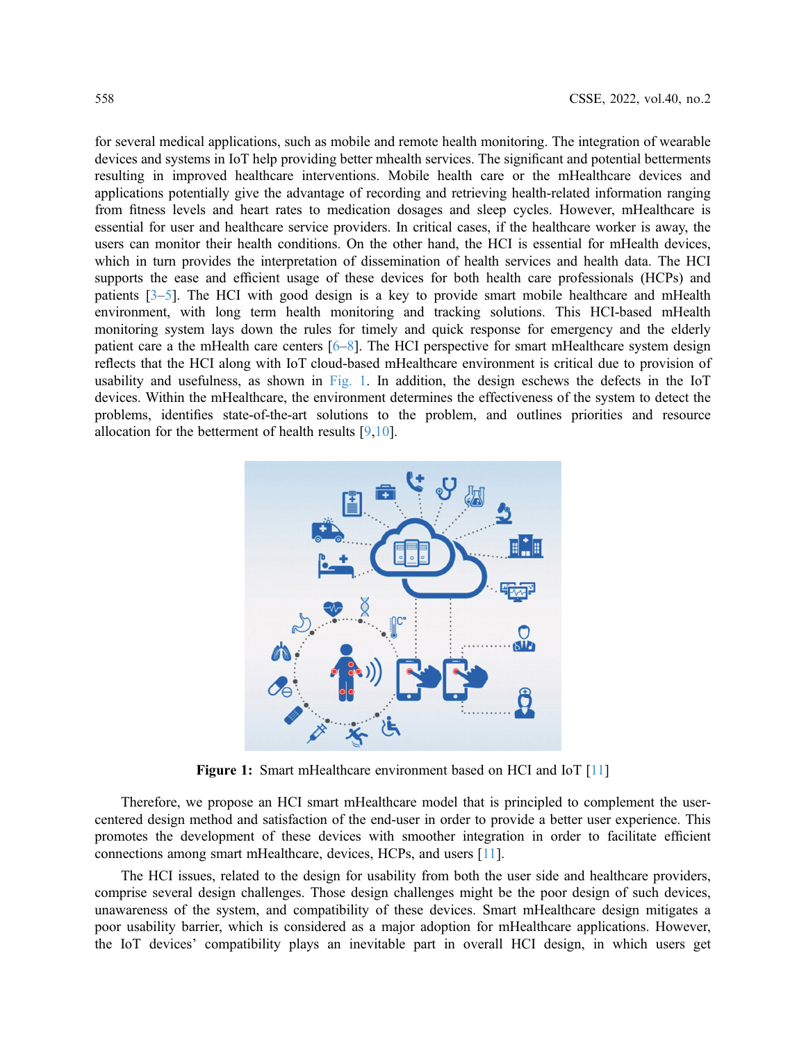for several medical applications, such as mobile and remote health monitoring. The integration of wearable devices and systems in IoT help providing better mhealth services. The significant and potential betterments resulting in improved healthcare interventions. Mobile health care or the mHealthcare devices and applications potentially give the advantage of recording and retrieving health-related information ranging from fitness levels and heart rates to medication dosages and sleep cycles. However, mHealthcare is essential for user and healthcare service providers. In critical cases, if the healthcare worker is away, the users can monitor their health conditions. On the other hand, the HCI is essential for mHealth devices, which in turn provides the interpretation of dissemination of health services and health data. The HCI supports the ease and efficient usage of these devices for both health care professionals (HCPs) and patients  $[3-5]$  $[3-5]$  $[3-5]$ . The HCI with good design is a key to provide smart mobile healthcare and mHealth environment, with long term health monitoring and tracking solutions. This HCI-based mHealth monitoring system lays down the rules for timely and quick response for emergency and the elderly patient care a the mHealth care centers [[6](#page-9-4)–[8](#page-9-5)]. The HCI perspective for smart mHealthcare system design reflects that the HCI along with IoT cloud-based mHealthcare environment is critical due to provision of usability and usefulness, as shown in [Fig. 1](#page-1-0). In addition, the design eschews the defects in the IoT devices. Within the mHealthcare, the environment determines the effectiveness of the system to detect the problems, identifies state-of-the-art solutions to the problem, and outlines priorities and resource allocation for the betterment of health results [[9](#page-10-0),[10\]](#page-10-1).

<span id="page-1-0"></span>

Figure 1: Smart mHealthcare environment based on HCI and IoT [[11](#page-10-2)]

Therefore, we propose an HCI smart mHealthcare model that is principled to complement the usercentered design method and satisfaction of the end-user in order to provide a better user experience. This promotes the development of these devices with smoother integration in order to facilitate efficient connections among smart mHealthcare, devices, HCPs, and users [[11](#page-10-2)].

The HCI issues, related to the design for usability from both the user side and healthcare providers, comprise several design challenges. Those design challenges might be the poor design of such devices, unawareness of the system, and compatibility of these devices. Smart mHealthcare design mitigates a poor usability barrier, which is considered as a major adoption for mHealthcare applications. However, the IoT devices' compatibility plays an inevitable part in overall HCI design, in which users get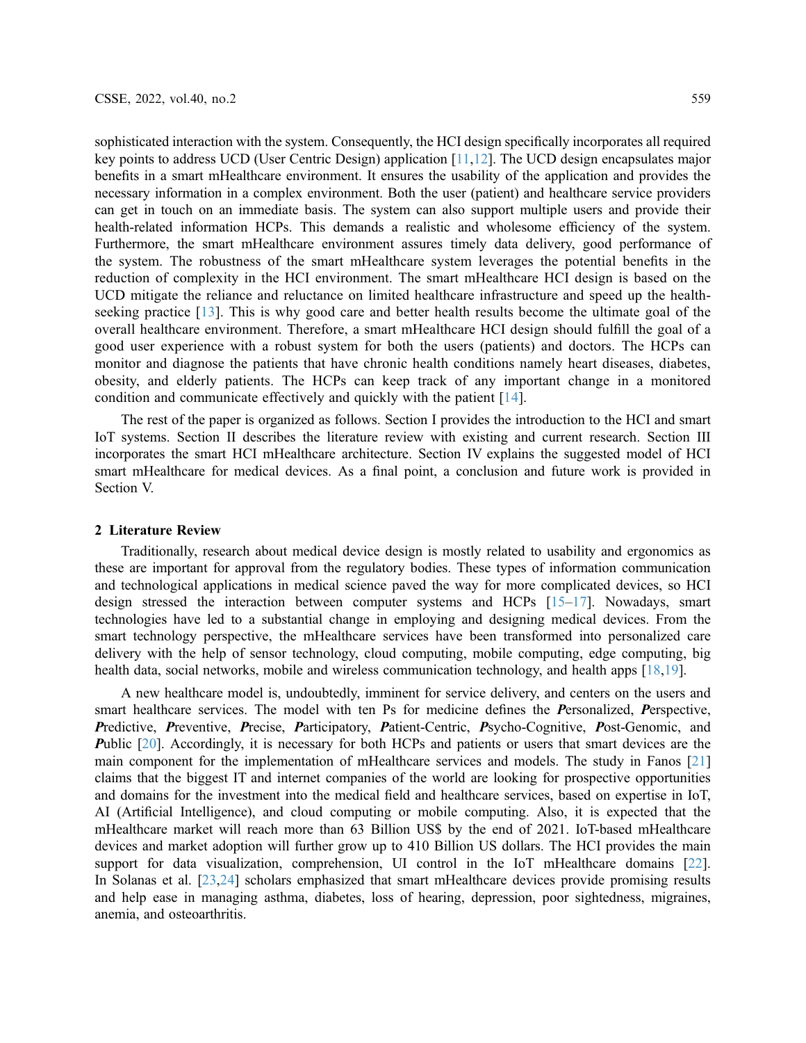sophisticated interaction with the system. Consequently, the HCI design specifically incorporates all required key points to address UCD (User Centric Design) application [[11](#page-10-2),[12\]](#page-10-3). The UCD design encapsulates major benefits in a smart mHealthcare environment. It ensures the usability of the application and provides the necessary information in a complex environment. Both the user (patient) and healthcare service providers can get in touch on an immediate basis. The system can also support multiple users and provide their health-related information HCPs. This demands a realistic and wholesome efficiency of the system. Furthermore, the smart mHealthcare environment assures timely data delivery, good performance of the system. The robustness of the smart mHealthcare system leverages the potential benefits in the reduction of complexity in the HCI environment. The smart mHealthcare HCI design is based on the UCD mitigate the reliance and reluctance on limited healthcare infrastructure and speed up the healthseeking practice [[13\]](#page-10-4). This is why good care and better health results become the ultimate goal of the overall healthcare environment. Therefore, a smart mHealthcare HCI design should fulfill the goal of a good user experience with a robust system for both the users (patients) and doctors. The HCPs can monitor and diagnose the patients that have chronic health conditions namely heart diseases, diabetes, obesity, and elderly patients. The HCPs can keep track of any important change in a monitored condition and communicate effectively and quickly with the patient [[14](#page-10-5)].

The rest of the paper is organized as follows. Section I provides the introduction to the HCI and smart IoT systems. Section II describes the literature review with existing and current research. Section III incorporates the smart HCI mHealthcare architecture. Section IV explains the suggested model of HCI smart mHealthcare for medical devices. As a final point, a conclusion and future work is provided in Section V.

## 2 Literature Review

Traditionally, research about medical device design is mostly related to usability and ergonomics as these are important for approval from the regulatory bodies. These types of information communication and technological applications in medical science paved the way for more complicated devices, so HCI design stressed the interaction between computer systems and HCPs [[15](#page-10-6)–[17](#page-10-7)]. Nowadays, smart technologies have led to a substantial change in employing and designing medical devices. From the smart technology perspective, the mHealthcare services have been transformed into personalized care delivery with the help of sensor technology, cloud computing, mobile computing, edge computing, big health data, social networks, mobile and wireless communication technology, and health apps [\[18](#page-10-8),[19\]](#page-10-9).

A new healthcare model is, undoubtedly, imminent for service delivery, and centers on the users and smart healthcare services. The model with ten Ps for medicine defines the Personalized, Perspective, Predictive, Preventive, Precise, Participatory, Patient-Centric, Psycho-Cognitive, Post-Genomic, and Public [[20\]](#page-10-10). Accordingly, it is necessary for both HCPs and patients or users that smart devices are the main component for the implementation of mHealthcare services and models. The study in Fanos [[21\]](#page-10-11) claims that the biggest IT and internet companies of the world are looking for prospective opportunities and domains for the investment into the medical field and healthcare services, based on expertise in IoT, AI (Artificial Intelligence), and cloud computing or mobile computing. Also, it is expected that the mHealthcare market will reach more than 63 Billion US\$ by the end of 2021. IoT-based mHealthcare devices and market adoption will further grow up to 410 Billion US dollars. The HCI provides the main support for data visualization, comprehension, UI control in the IoT mHealthcare domains [[22\]](#page-10-12). In Solanas et al. [[23,](#page-10-13)[24](#page-10-14)] scholars emphasized that smart mHealthcare devices provide promising results and help ease in managing asthma, diabetes, loss of hearing, depression, poor sightedness, migraines, anemia, and osteoarthritis.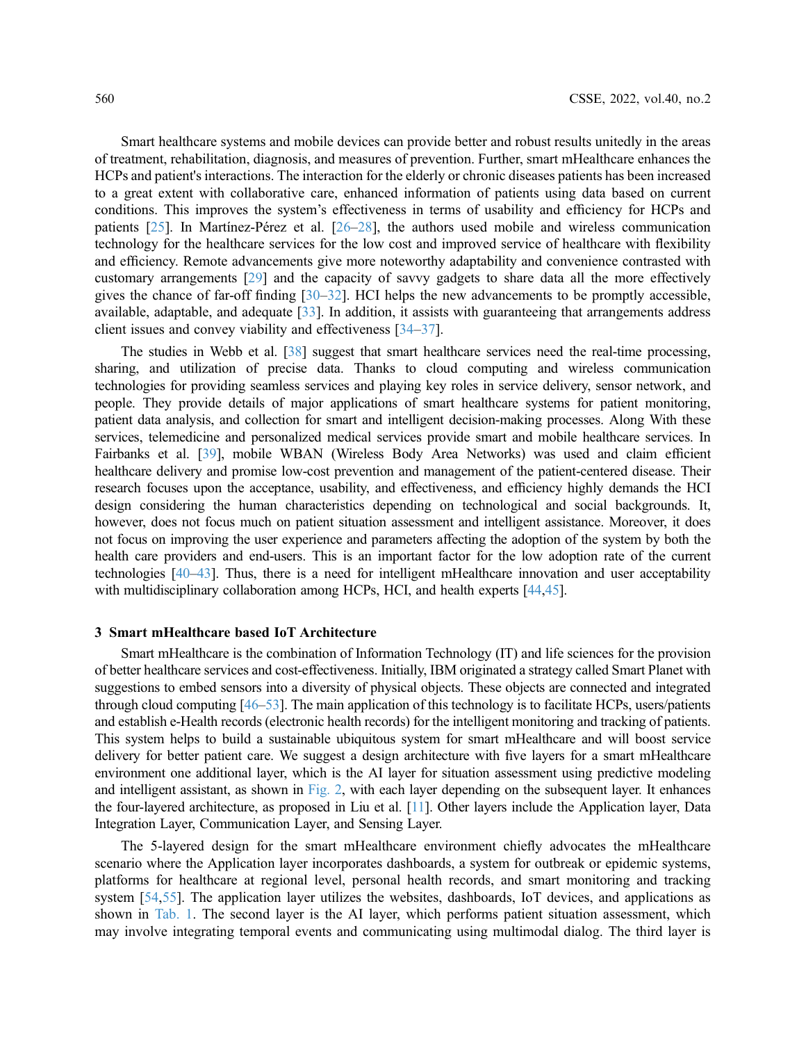Smart healthcare systems and mobile devices can provide better and robust results unitedly in the areas of treatment, rehabilitation, diagnosis, and measures of prevention. Further, smart mHealthcare enhances the HCPs and patient's interactions. The interaction for the elderly or chronic diseases patients has been increased to a great extent with collaborative care, enhanced information of patients using data based on current conditions. This improves the system's effectiveness in terms of usability and efficiency for HCPs and patients [\[25](#page-10-15)]. In Martínez-Pérez et al. [[26](#page-10-16)–[28\]](#page-10-17), the authors used mobile and wireless communication technology for the healthcare services for the low cost and improved service of healthcare with flexibility and efficiency. Remote advancements give more noteworthy adaptability and convenience contrasted with customary arrangements [[29\]](#page-10-18) and the capacity of savvy gadgets to share data all the more effectively gives the chance of far-off finding [\[30](#page-11-0)–[32\]](#page-11-1). HCI helps the new advancements to be promptly accessible, available, adaptable, and adequate [\[33](#page-11-2)]. In addition, it assists with guaranteeing that arrangements address client issues and convey viability and effectiveness [[34](#page-11-3)–[37\]](#page-11-4).

The studies in Webb et al. [[38](#page-11-5)] suggest that smart healthcare services need the real-time processing, sharing, and utilization of precise data. Thanks to cloud computing and wireless communication technologies for providing seamless services and playing key roles in service delivery, sensor network, and people. They provide details of major applications of smart healthcare systems for patient monitoring, patient data analysis, and collection for smart and intelligent decision-making processes. Along With these services, telemedicine and personalized medical services provide smart and mobile healthcare services. In Fairbanks et al. [[39\]](#page-11-6), mobile WBAN (Wireless Body Area Networks) was used and claim efficient healthcare delivery and promise low-cost prevention and management of the patient-centered disease. Their research focuses upon the acceptance, usability, and effectiveness, and efficiency highly demands the HCI design considering the human characteristics depending on technological and social backgrounds. It, however, does not focus much on patient situation assessment and intelligent assistance. Moreover, it does not focus on improving the user experience and parameters affecting the adoption of the system by both the health care providers and end-users. This is an important factor for the low adoption rate of the current technologies [[40](#page-11-7)–[43](#page-11-8)]. Thus, there is a need for intelligent mHealthcare innovation and user acceptability with multidisciplinary collaboration among HCPs, HCI, and health experts [[44](#page-11-9)[,45](#page-11-10)].

### 3 Smart mHealthcare based IoT Architecture

Smart mHealthcare is the combination of Information Technology (IT) and life sciences for the provision of better healthcare services and cost-effectiveness. Initially, IBM originated a strategy called Smart Planet with suggestions to embed sensors into a diversity of physical objects. These objects are connected and integrated through cloud computing [[46](#page-11-11)–[53](#page-12-0)]. The main application of this technology is to facilitate HCPs, users/patients and establish e-Health records (electronic health records) for the intelligent monitoring and tracking of patients. This system helps to build a sustainable ubiquitous system for smart mHealthcare and will boost service delivery for better patient care. We suggest a design architecture with five layers for a smart mHealthcare environment one additional layer, which is the AI layer for situation assessment using predictive modeling and intelligent assistant, as shown in [Fig. 2,](#page-4-0) with each layer depending on the subsequent layer. It enhances the four-layered architecture, as proposed in Liu et al. [\[11\]](#page-10-2). Other layers include the Application layer, Data Integration Layer, Communication Layer, and Sensing Layer.

The 5-layered design for the smart mHealthcare environment chiefly advocates the mHealthcare scenario where the Application layer incorporates dashboards, a system for outbreak or epidemic systems, platforms for healthcare at regional level, personal health records, and smart monitoring and tracking system [[54](#page-12-1)[,55](#page-12-2)]. The application layer utilizes the websites, dashboards, IoT devices, and applications as shown in [Tab. 1](#page-4-1). The second layer is the AI layer, which performs patient situation assessment, which may involve integrating temporal events and communicating using multimodal dialog. The third layer is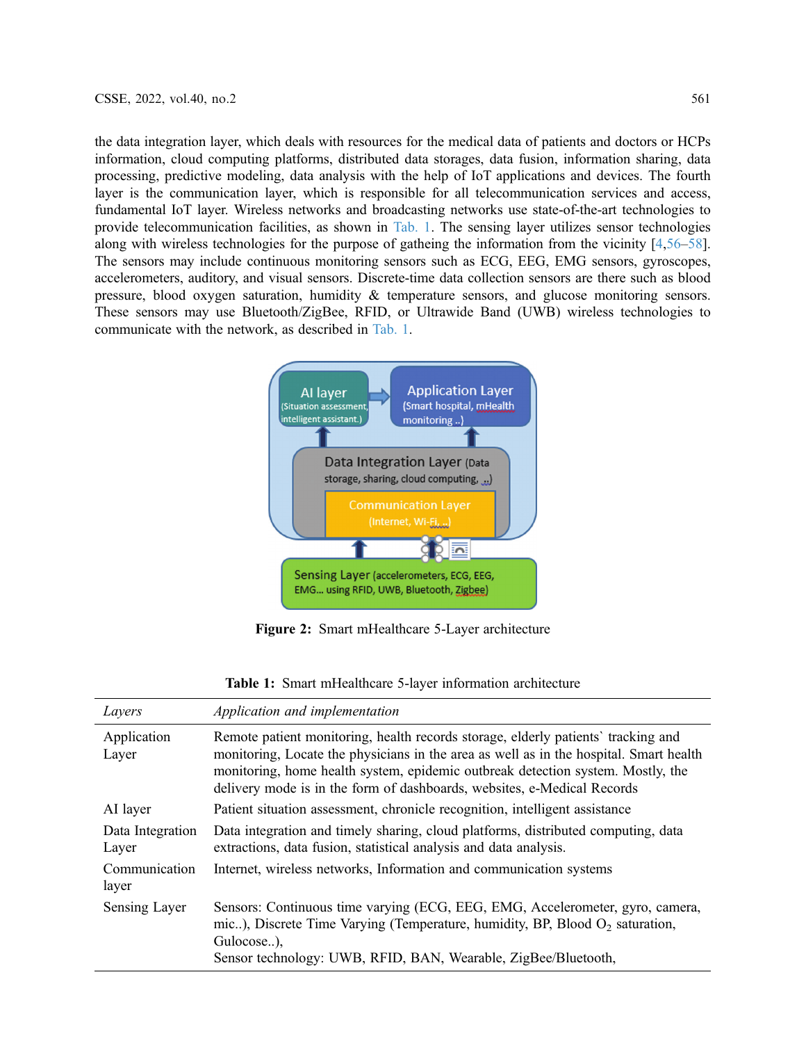the data integration layer, which deals with resources for the medical data of patients and doctors or HCPs information, cloud computing platforms, distributed data storages, data fusion, information sharing, data processing, predictive modeling, data analysis with the help of IoT applications and devices. The fourth layer is the communication layer, which is responsible for all telecommunication services and access, fundamental IoT layer. Wireless networks and broadcasting networks use state-of-the-art technologies to provide telecommunication facilities, as shown in [Tab. 1.](#page-4-1) The sensing layer utilizes sensor technologies along with wireless technologies for the purpose of gatheing the information from the vicinity [\[4](#page-9-6)[,56](#page-12-3)–[58\]](#page-12-4). The sensors may include continuous monitoring sensors such as ECG, EEG, EMG sensors, gyroscopes, accelerometers, auditory, and visual sensors. Discrete-time data collection sensors are there such as blood pressure, blood oxygen saturation, humidity & temperature sensors, and glucose monitoring sensors. These sensors may use Bluetooth/ZigBee, RFID, or Ultrawide Band (UWB) wireless technologies to communicate with the network, as described in [Tab. 1.](#page-4-1)

<span id="page-4-0"></span>

Figure 2: Smart mHealthcare 5-Layer architecture

<span id="page-4-1"></span>

| Layers                    | Application and implementation                                                                                                                                                                                                                                                                                                            |
|---------------------------|-------------------------------------------------------------------------------------------------------------------------------------------------------------------------------------------------------------------------------------------------------------------------------------------------------------------------------------------|
| Application<br>Layer      | Remote patient monitoring, health records storage, elderly patients' tracking and<br>monitoring, Locate the physicians in the area as well as in the hospital. Smart health<br>monitoring, home health system, epidemic outbreak detection system. Mostly, the<br>delivery mode is in the form of dashboards, websites, e-Medical Records |
| AI layer                  | Patient situation assessment, chronicle recognition, intelligent assistance                                                                                                                                                                                                                                                               |
| Data Integration<br>Layer | Data integration and timely sharing, cloud platforms, distributed computing, data<br>extractions, data fusion, statistical analysis and data analysis.                                                                                                                                                                                    |
| Communication<br>layer    | Internet, wireless networks, Information and communication systems                                                                                                                                                                                                                                                                        |
| Sensing Layer             | Sensors: Continuous time varying (ECG, EEG, EMG, Accelerometer, gyro, camera,<br>mic), Discrete Time Varying (Temperature, humidity, BP, Blood $O_2$ saturation,<br>Gulocose),<br>Sensor technology: UWB, RFID, BAN, Wearable, ZigBee/Bluetooth,                                                                                          |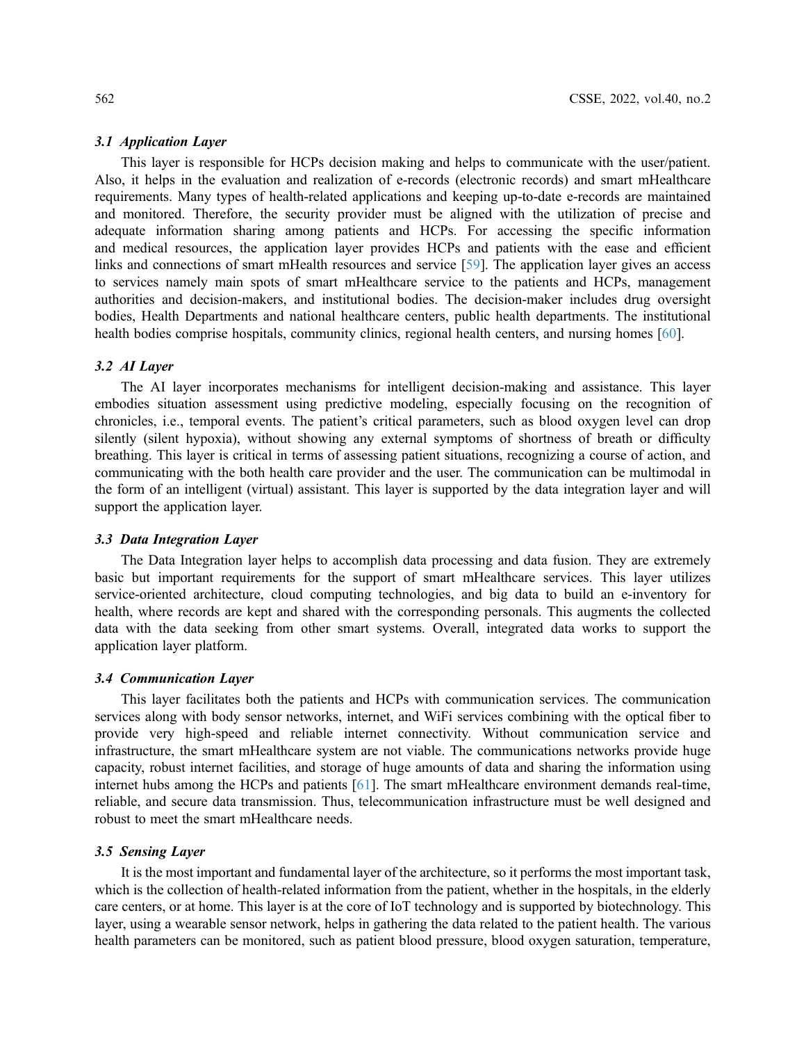This layer is responsible for HCPs decision making and helps to communicate with the user/patient. Also, it helps in the evaluation and realization of e-records (electronic records) and smart mHealthcare requirements. Many types of health-related applications and keeping up-to-date e-records are maintained and monitored. Therefore, the security provider must be aligned with the utilization of precise and adequate information sharing among patients and HCPs. For accessing the specific information and medical resources, the application layer provides HCPs and patients with the ease and efficient links and connections of smart mHealth resources and service [\[59\]](#page-12-5). The application layer gives an access to services namely main spots of smart mHealthcare service to the patients and HCPs, management authorities and decision-makers, and institutional bodies. The decision-maker includes drug oversight bodies, Health Departments and national healthcare centers, public health departments. The institutional health bodies comprise hospitals, community clinics, regional health centers, and nursing homes [\[60](#page-12-6)].

The AI layer incorporates mechanisms for intelligent decision-making and assistance. This layer embodies situation assessment using predictive modeling, especially focusing on the recognition of chronicles, i.e., temporal events. The patient's critical parameters, such as blood oxygen level can drop silently (silent hypoxia), without showing any external symptoms of shortness of breath or difficulty breathing. This layer is critical in terms of assessing patient situations, recognizing a course of action, and communicating with the both health care provider and the user. The communication can be multimodal in the form of an intelligent (virtual) assistant. This layer is supported by the data integration layer and will support the application layer.

The Data Integration layer helps to accomplish data processing and data fusion. They are extremely basic but important requirements for the support of smart mHealthcare services. This layer utilizes service-oriented architecture, cloud computing technologies, and big data to build an e-inventory for health, where records are kept and shared with the corresponding personals. This augments the collected data with the data seeking from other smart systems. Overall, integrated data works to support the application layer platform.

This layer facilitates both the patients and HCPs with communication services. The communication services along with body sensor networks, internet, and WiFi services combining with the optical fiber to provide very high-speed and reliable internet connectivity. Without communication service and infrastructure, the smart mHealthcare system are not viable. The communications networks provide huge capacity, robust internet facilities, and storage of huge amounts of data and sharing the information using internet hubs among the HCPs and patients [\[61](#page-12-7)]. The smart mHealthcare environment demands real-time, reliable, and secure data transmission. Thus, telecommunication infrastructure must be well designed and robust to meet the smart mHealthcare needs.

It is the most important and fundamental layer of the architecture, so it performs the most important task, which is the collection of health-related information from the patient, whether in the hospitals, in the elderly care centers, or at home. This layer is at the core of IoT technology and is supported by biotechnology. This layer, using a wearable sensor network, helps in gathering the data related to the patient health. The various health parameters can be monitored, such as patient blood pressure, blood oxygen saturation, temperature,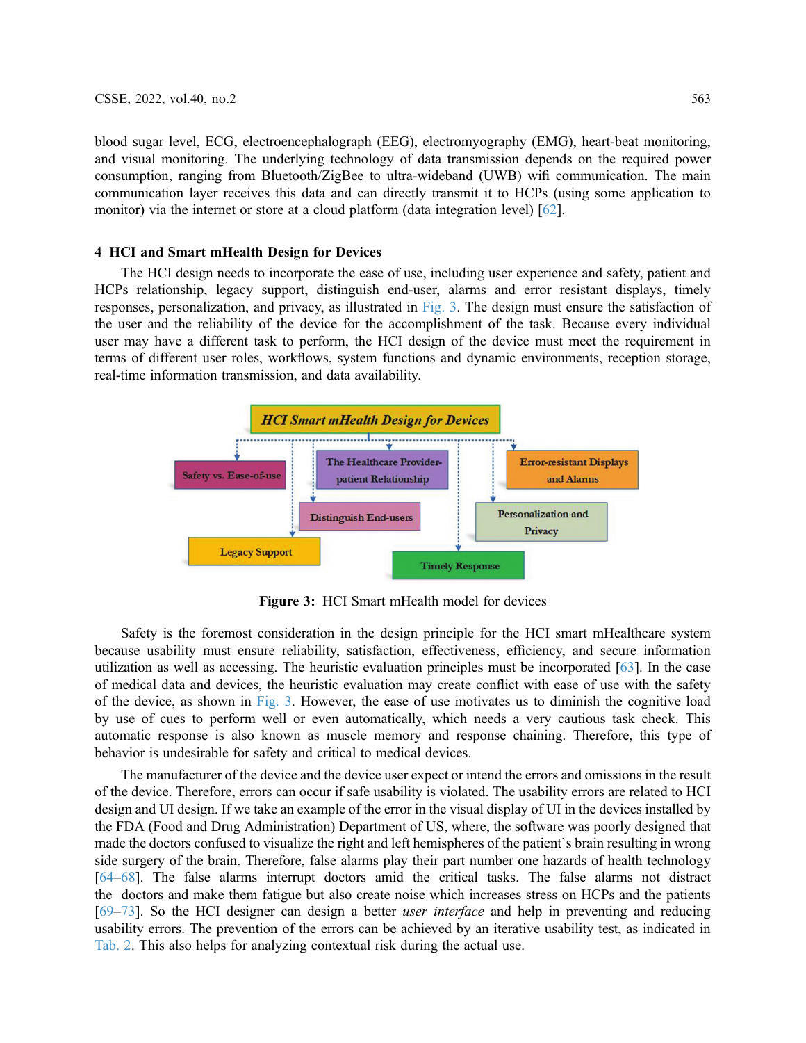blood sugar level, ECG, electroencephalograph (EEG), electromyography (EMG), heart-beat monitoring, and visual monitoring. The underlying technology of data transmission depends on the required power consumption, ranging from Bluetooth/ZigBee to ultra-wideband (UWB) wifi communication. The main communication layer receives this data and can directly transmit it to HCPs (using some application to monitor) via the internet or store at a cloud platform (data integration level) [\[62](#page-12-8)].

# 4 HCI and Smart mHealth Design for Devices

The HCI design needs to incorporate the ease of use, including user experience and safety, patient and HCPs relationship, legacy support, distinguish end-user, alarms and error resistant displays, timely responses, personalization, and privacy, as illustrated in [Fig. 3](#page-6-0). The design must ensure the satisfaction of the user and the reliability of the device for the accomplishment of the task. Because every individual user may have a different task to perform, the HCI design of the device must meet the requirement in terms of different user roles, workflows, system functions and dynamic environments, reception storage, real-time information transmission, and data availability.

<span id="page-6-0"></span>

Figure 3: HCI Smart mHealth model for devices

Safety is the foremost consideration in the design principle for the HCI smart mHealthcare system because usability must ensure reliability, satisfaction, effectiveness, efficiency, and secure information utilization as well as accessing. The heuristic evaluation principles must be incorporated [\[63](#page-12-9)]. In the case of medical data and devices, the heuristic evaluation may create conflict with ease of use with the safety of the device, as shown in [Fig. 3.](#page-6-0) However, the ease of use motivates us to diminish the cognitive load by use of cues to perform well or even automatically, which needs a very cautious task check. This automatic response is also known as muscle memory and response chaining. Therefore, this type of behavior is undesirable for safety and critical to medical devices.

The manufacturer of the device and the device user expect or intend the errors and omissions in the result of the device. Therefore, errors can occur if safe usability is violated. The usability errors are related to HCI design and UI design. If we take an example of the error in the visual display of UI in the devices installed by the FDA (Food and Drug Administration) Department of US, where, the software was poorly designed that made the doctors confused to visualize the right and left hemispheres of the patient`s brain resulting in wrong side surgery of the brain. Therefore, false alarms play their part number one hazards of health technology [[64](#page-12-10)–[68\]](#page-12-11). The false alarms interrupt doctors amid the critical tasks. The false alarms not distract the doctors and make them fatigue but also create noise which increases stress on HCPs and the patients [[69](#page-12-12)–[73\]](#page-12-13). So the HCI designer can design a better *user interface* and help in preventing and reducing usability errors. The prevention of the errors can be achieved by an iterative usability test, as indicated in [Tab. 2.](#page-7-0) This also helps for analyzing contextual risk during the actual use.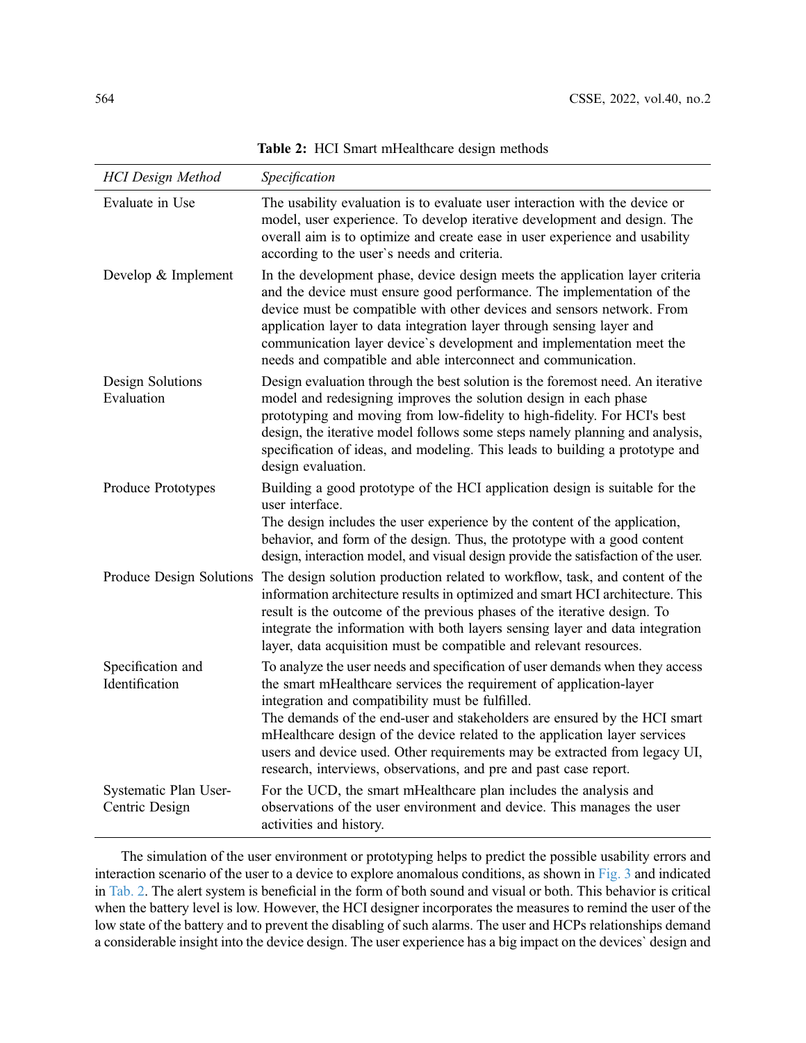<span id="page-7-0"></span>

| <b>HCI</b> Design Method                | Specification                                                                                                                                                                                                                                                                                                                                                                                                                                                                                                         |  |
|-----------------------------------------|-----------------------------------------------------------------------------------------------------------------------------------------------------------------------------------------------------------------------------------------------------------------------------------------------------------------------------------------------------------------------------------------------------------------------------------------------------------------------------------------------------------------------|--|
| Evaluate in Use                         | The usability evaluation is to evaluate user interaction with the device or<br>model, user experience. To develop iterative development and design. The<br>overall aim is to optimize and create ease in user experience and usability<br>according to the user's needs and criteria.                                                                                                                                                                                                                                 |  |
| Develop & Implement                     | In the development phase, device design meets the application layer criteria<br>and the device must ensure good performance. The implementation of the<br>device must be compatible with other devices and sensors network. From<br>application layer to data integration layer through sensing layer and<br>communication layer device's development and implementation meet the<br>needs and compatible and able interconnect and communication.                                                                    |  |
| Design Solutions<br>Evaluation          | Design evaluation through the best solution is the foremost need. An iterative<br>model and redesigning improves the solution design in each phase<br>prototyping and moving from low-fidelity to high-fidelity. For HCI's best<br>design, the iterative model follows some steps namely planning and analysis,<br>specification of ideas, and modeling. This leads to building a prototype and<br>design evaluation.                                                                                                 |  |
| Produce Prototypes                      | Building a good prototype of the HCI application design is suitable for the<br>user interface.<br>The design includes the user experience by the content of the application,<br>behavior, and form of the design. Thus, the prototype with a good content<br>design, interaction model, and visual design provide the satisfaction of the user.                                                                                                                                                                       |  |
| Produce Design Solutions                | The design solution production related to workflow, task, and content of the<br>information architecture results in optimized and smart HCI architecture. This<br>result is the outcome of the previous phases of the iterative design. To<br>integrate the information with both layers sensing layer and data integration<br>layer, data acquisition must be compatible and relevant resources.                                                                                                                     |  |
| Specification and<br>Identification     | To analyze the user needs and specification of user demands when they access<br>the smart mHealthcare services the requirement of application-layer<br>integration and compatibility must be fulfilled.<br>The demands of the end-user and stakeholders are ensured by the HCI smart<br>mHealthcare design of the device related to the application layer services<br>users and device used. Other requirements may be extracted from legacy UI,<br>research, interviews, observations, and pre and past case report. |  |
| Systematic Plan User-<br>Centric Design | For the UCD, the smart mHealthcare plan includes the analysis and<br>observations of the user environment and device. This manages the user<br>activities and history.                                                                                                                                                                                                                                                                                                                                                |  |

Table 2: HCI Smart mHealthcare design methods

The simulation of the user environment or prototyping helps to predict the possible usability errors and interaction scenario of the user to a device to explore anomalous conditions, as shown in [Fig. 3](#page-6-0) and indicated in [Tab. 2.](#page-7-0) The alert system is beneficial in the form of both sound and visual or both. This behavior is critical when the battery level is low. However, the HCI designer incorporates the measures to remind the user of the low state of the battery and to prevent the disabling of such alarms. The user and HCPs relationships demand a considerable insight into the device design. The user experience has a big impact on the devices` design and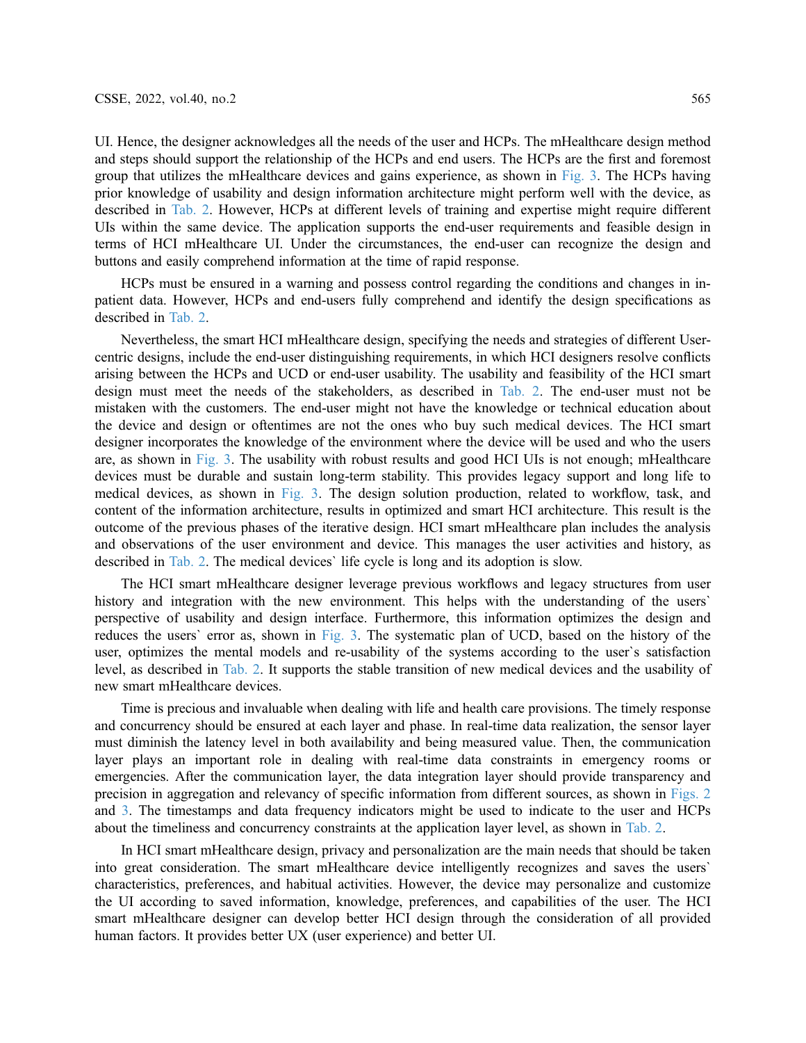UI. Hence, the designer acknowledges all the needs of the user and HCPs. The mHealthcare design method and steps should support the relationship of the HCPs and end users. The HCPs are the first and foremost group that utilizes the mHealthcare devices and gains experience, as shown in [Fig. 3.](#page-6-0) The HCPs having prior knowledge of usability and design information architecture might perform well with the device, as described in [Tab. 2](#page-7-0). However, HCPs at different levels of training and expertise might require different UIs within the same device. The application supports the end-user requirements and feasible design in terms of HCI mHealthcare UI. Under the circumstances, the end-user can recognize the design and buttons and easily comprehend information at the time of rapid response.

HCPs must be ensured in a warning and possess control regarding the conditions and changes in inpatient data. However, HCPs and end-users fully comprehend and identify the design specifications as described in [Tab. 2](#page-7-0).

Nevertheless, the smart HCI mHealthcare design, specifying the needs and strategies of different Usercentric designs, include the end-user distinguishing requirements, in which HCI designers resolve conflicts arising between the HCPs and UCD or end-user usability. The usability and feasibility of the HCI smart design must meet the needs of the stakeholders, as described in [Tab. 2](#page-7-0). The end-user must not be mistaken with the customers. The end-user might not have the knowledge or technical education about the device and design or oftentimes are not the ones who buy such medical devices. The HCI smart designer incorporates the knowledge of the environment where the device will be used and who the users are, as shown in [Fig. 3.](#page-6-0) The usability with robust results and good HCI UIs is not enough; mHealthcare devices must be durable and sustain long-term stability. This provides legacy support and long life to medical devices, as shown in [Fig. 3](#page-6-0). The design solution production, related to workflow, task, and content of the information architecture, results in optimized and smart HCI architecture. This result is the outcome of the previous phases of the iterative design. HCI smart mHealthcare plan includes the analysis and observations of the user environment and device. This manages the user activities and history, as described in [Tab. 2](#page-7-0). The medical devices` life cycle is long and its adoption is slow.

The HCI smart mHealthcare designer leverage previous workflows and legacy structures from user history and integration with the new environment. This helps with the understanding of the users' perspective of usability and design interface. Furthermore, this information optimizes the design and reduces the users` error as, shown in [Fig. 3.](#page-6-0) The systematic plan of UCD, based on the history of the user, optimizes the mental models and re-usability of the systems according to the user`s satisfaction level, as described in [Tab. 2.](#page-7-0) It supports the stable transition of new medical devices and the usability of new smart mHealthcare devices.

Time is precious and invaluable when dealing with life and health care provisions. The timely response and concurrency should be ensured at each layer and phase. In real-time data realization, the sensor layer must diminish the latency level in both availability and being measured value. Then, the communication layer plays an important role in dealing with real-time data constraints in emergency rooms or emergencies. After the communication layer, the data integration layer should provide transparency and precision in aggregation and relevancy of specific information from different sources, as shown in [Figs. 2](#page-4-0) and [3.](#page-6-0) The timestamps and data frequency indicators might be used to indicate to the user and HCPs about the timeliness and concurrency constraints at the application layer level, as shown in [Tab. 2](#page-7-0).

In HCI smart mHealthcare design, privacy and personalization are the main needs that should be taken into great consideration. The smart mHealthcare device intelligently recognizes and saves the users` characteristics, preferences, and habitual activities. However, the device may personalize and customize the UI according to saved information, knowledge, preferences, and capabilities of the user. The HCI smart mHealthcare designer can develop better HCI design through the consideration of all provided human factors. It provides better UX (user experience) and better UI.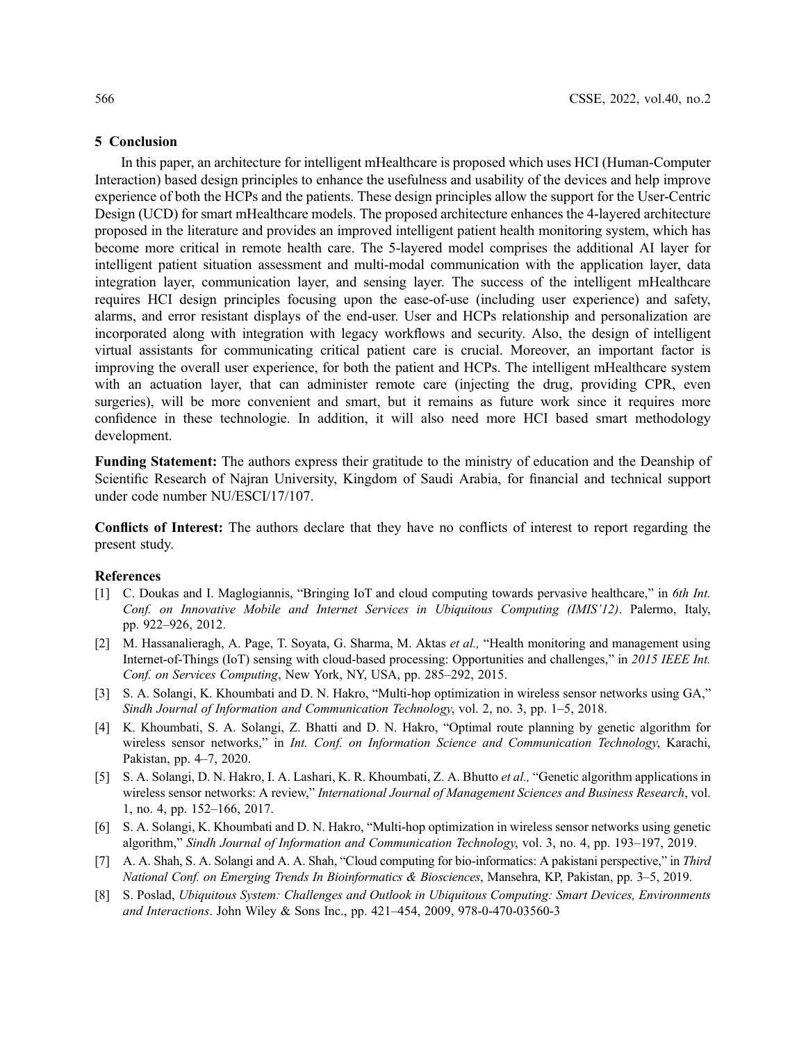### 5 Conclusion

In this paper, an architecture for intelligent mHealthcare is proposed which uses HCI (Human-Computer Interaction) based design principles to enhance the usefulness and usability of the devices and help improve experience of both the HCPs and the patients. These design principles allow the support for the User-Centric Design (UCD) for smart mHealthcare models. The proposed architecture enhances the 4-layered architecture proposed in the literature and provides an improved intelligent patient health monitoring system, which has become more critical in remote health care. The 5-layered model comprises the additional AI layer for intelligent patient situation assessment and multi-modal communication with the application layer, data integration layer, communication layer, and sensing layer. The success of the intelligent mHealthcare requires HCI design principles focusing upon the ease-of-use (including user experience) and safety, alarms, and error resistant displays of the end-user. User and HCPs relationship and personalization are incorporated along with integration with legacy workflows and security. Also, the design of intelligent virtual assistants for communicating critical patient care is crucial. Moreover, an important factor is improving the overall user experience, for both the patient and HCPs. The intelligent mHealthcare system with an actuation layer, that can administer remote care (injecting the drug, providing CPR, even surgeries), will be more convenient and smart, but it remains as future work since it requires more confidence in these technologie. In addition, it will also need more HCI based smart methodology development.

Funding Statement: The authors express their gratitude to the ministry of education and the Deanship of Scientific Research of Najran University, Kingdom of Saudi Arabia, for financial and technical support under code number NU/ESCI/17/107.

Conflicts of Interest: The authors declare that they have no conflicts of interest to report regarding the present study.

### References

- <span id="page-9-0"></span>[1] C. Doukas and I. Maglogiannis, "Bringing IoT and cloud computing towards pervasive healthcare," in 6th Int. Conf. on Innovative Mobile and Internet Services in Ubiquitous Computing (IMIS'12). Palermo, Italy, pp. 922–926, 2012.
- <span id="page-9-1"></span>[2] M. Hassanalieragh, A. Page, T. Soyata, G. Sharma, M. Aktas et al., "Health monitoring and management using Internet-of-Things (IoT) sensing with cloud-based processing: Opportunities and challenges," in 2015 IEEE Int. Conf. on Services Computing, New York, NY, USA, pp. 285–292, 2015.
- <span id="page-9-2"></span>[3] S. A. Solangi, K. Khoumbati and D. N. Hakro, "Multi-hop optimization in wireless sensor networks using GA," Sindh Journal of Information and Communication Technology, vol. 2, no. 3, pp. 1–5, 2018.
- <span id="page-9-6"></span>[4] K. Khoumbati, S. A. Solangi, Z. Bhatti and D. N. Hakro, "Optimal route planning by genetic algorithm for wireless sensor networks," in Int. Conf. on Information Science and Communication Technology, Karachi, Pakistan, pp. 4–7, 2020.
- <span id="page-9-3"></span>[5] S. A. Solangi, D. N. Hakro, I. A. Lashari, K. R. Khoumbati, Z. A. Bhutto *et al.*, "Genetic algorithm applications in wireless sensor networks: A review," International Journal of Management Sciences and Business Research, vol. 1, no. 4, pp. 152–166, 2017.
- <span id="page-9-4"></span>[6] S. A. Solangi, K. Khoumbati and D. N. Hakro, "Multi-hop optimization in wireless sensor networks using genetic algorithm," Sindh Journal of Information and Communication Technology, vol. 3, no. 4, pp. 193–197, 2019.
- [7] A. A. Shah, S. A. Solangi and A. A. Shah, "Cloud computing for bio-informatics: A pakistani perspective," in Third National Conf. on Emerging Trends In Bioinformatics & Biosciences, Mansehra, KP, Pakistan, pp. 3–5, 2019.
- <span id="page-9-5"></span>[8] S. Poslad, Ubiquitous System: Challenges and Outlook in Ubiquitous Computing: Smart Devices, Environments and Interactions. John Wiley & Sons Inc., pp. 421–454, 2009, 978-0-470-03560-3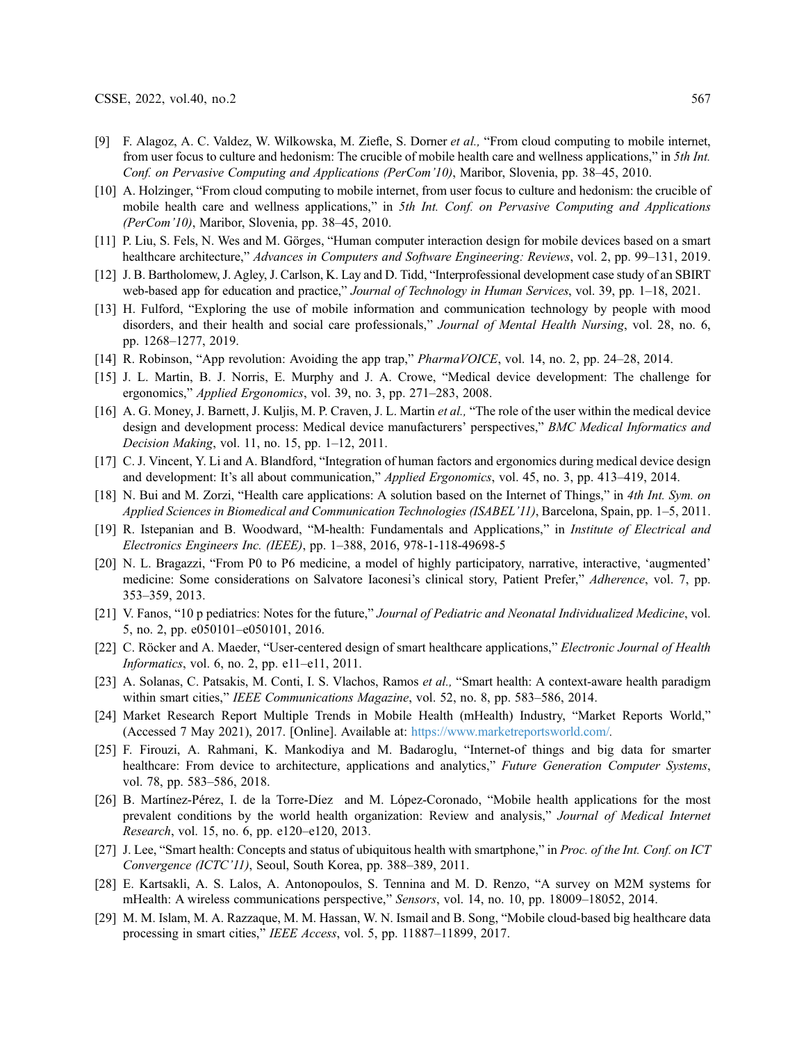- <span id="page-10-0"></span>[9] F. Alagoz, A. C. Valdez, W. Wilkowska, M. Ziefle, S. Dorner et al., "From cloud computing to mobile internet, from user focus to culture and hedonism: The crucible of mobile health care and wellness applications," in 5th Int. Conf. on Pervasive Computing and Applications (PerCom'10), Maribor, Slovenia, pp. 38–45, 2010.
- <span id="page-10-1"></span>[10] A. Holzinger, "From cloud computing to mobile internet, from user focus to culture and hedonism: the crucible of mobile health care and wellness applications," in 5th Int. Conf. on Pervasive Computing and Applications (PerCom'10), Maribor, Slovenia, pp. 38–45, 2010.
- <span id="page-10-2"></span>[11] P. Liu, S. Fels, N. Wes and M. Görges, "Human computer interaction design for mobile devices based on a smart healthcare architecture," Advances in Computers and Software Engineering: Reviews, vol. 2, pp. 99–131, 2019.
- <span id="page-10-3"></span>[12] J. B. Bartholomew, J. Agley, J. Carlson, K. Lay and D. Tidd, "Interprofessional development case study of an SBIRT web-based app for education and practice," Journal of Technology in Human Services, vol. 39, pp. 1–18, 2021.
- <span id="page-10-4"></span>[13] H. Fulford, "Exploring the use of mobile information and communication technology by people with mood disorders, and their health and social care professionals," Journal of Mental Health Nursing, vol. 28, no. 6, pp. 1268–1277, 2019.
- <span id="page-10-5"></span>[14] R. Robinson, "App revolution: Avoiding the app trap," PharmaVOICE, vol. 14, no. 2, pp. 24–28, 2014.
- <span id="page-10-6"></span>[15] J. L. Martin, B. J. Norris, E. Murphy and J. A. Crowe, "Medical device development: The challenge for ergonomics," Applied Ergonomics, vol. 39, no. 3, pp. 271–283, 2008.
- [16] A. G. Money, J. Barnett, J. Kuljis, M. P. Craven, J. L. Martin et al., "The role of the user within the medical device design and development process: Medical device manufacturers' perspectives," BMC Medical Informatics and Decision Making, vol. 11, no. 15, pp. 1–12, 2011.
- <span id="page-10-7"></span>[17] C. J. Vincent, Y. Li and A. Blandford, "Integration of human factors and ergonomics during medical device design and development: It's all about communication," Applied Ergonomics, vol. 45, no. 3, pp. 413–419, 2014.
- <span id="page-10-8"></span>[18] N. Bui and M. Zorzi, "Health care applications: A solution based on the Internet of Things," in 4th Int. Sym. on Applied Sciences in Biomedical and Communication Technologies (ISABEL'11), Barcelona, Spain, pp. 1–5, 2011.
- <span id="page-10-9"></span>[19] R. Istepanian and B. Woodward, "M-health: Fundamentals and Applications," in Institute of Electrical and Electronics Engineers Inc. (IEEE), pp. 1–388, 2016, 978-1-118-49698-5
- <span id="page-10-10"></span>[20] N. L. Bragazzi, "From P0 to P6 medicine, a model of highly participatory, narrative, interactive, 'augmented' medicine: Some considerations on Salvatore Iaconesi's clinical story, Patient Prefer," Adherence, vol. 7, pp. 353–359, 2013.
- <span id="page-10-11"></span>[21] V. Fanos, "10 p pediatrics: Notes for the future," Journal of Pediatric and Neonatal Individualized Medicine, vol. 5, no. 2, pp. e050101–e050101, 2016.
- <span id="page-10-12"></span>[22] C. Röcker and A. Maeder, "User-centered design of smart healthcare applications," Electronic Journal of Health Informatics, vol. 6, no. 2, pp. e11–e11, 2011.
- <span id="page-10-13"></span>[23] A. Solanas, C. Patsakis, M. Conti, I. S. Vlachos, Ramos et al., "Smart health: A context-aware health paradigm within smart cities," IEEE Communications Magazine, vol. 52, no. 8, pp. 583–586, 2014.
- <span id="page-10-14"></span>[24] Market Research Report Multiple Trends in Mobile Health (mHealth) Industry, "Market Reports World," (Accessed 7 May 2021), 2017. [Online]. Available at: <https://www.marketreportsworld.com/>.
- <span id="page-10-15"></span>[25] F. Firouzi, A. Rahmani, K. Mankodiya and M. Badaroglu, "Internet-of things and big data for smarter healthcare: From device to architecture, applications and analytics," Future Generation Computer Systems, vol. 78, pp. 583–586, 2018.
- <span id="page-10-16"></span>[26] B. Martínez-Pérez, I. de la Torre-Díez and M. López-Coronado, "Mobile health applications for the most prevalent conditions by the world health organization: Review and analysis," Journal of Medical Internet Research, vol. 15, no. 6, pp. e120–e120, 2013.
- [27] J. Lee, "Smart health: Concepts and status of ubiquitous health with smartphone," in Proc. of the Int. Conf. on ICT Convergence (ICTC'11), Seoul, South Korea, pp. 388–389, 2011.
- <span id="page-10-17"></span>[28] E. Kartsakli, A. S. Lalos, A. Antonopoulos, S. Tennina and M. D. Renzo, "A survey on M2M systems for mHealth: A wireless communications perspective," Sensors, vol. 14, no. 10, pp. 18009–18052, 2014.
- <span id="page-10-18"></span>[29] M. M. Islam, M. A. Razzaque, M. M. Hassan, W. N. Ismail and B. Song, "Mobile cloud-based big healthcare data processing in smart cities," IEEE Access, vol. 5, pp. 11887–11899, 2017.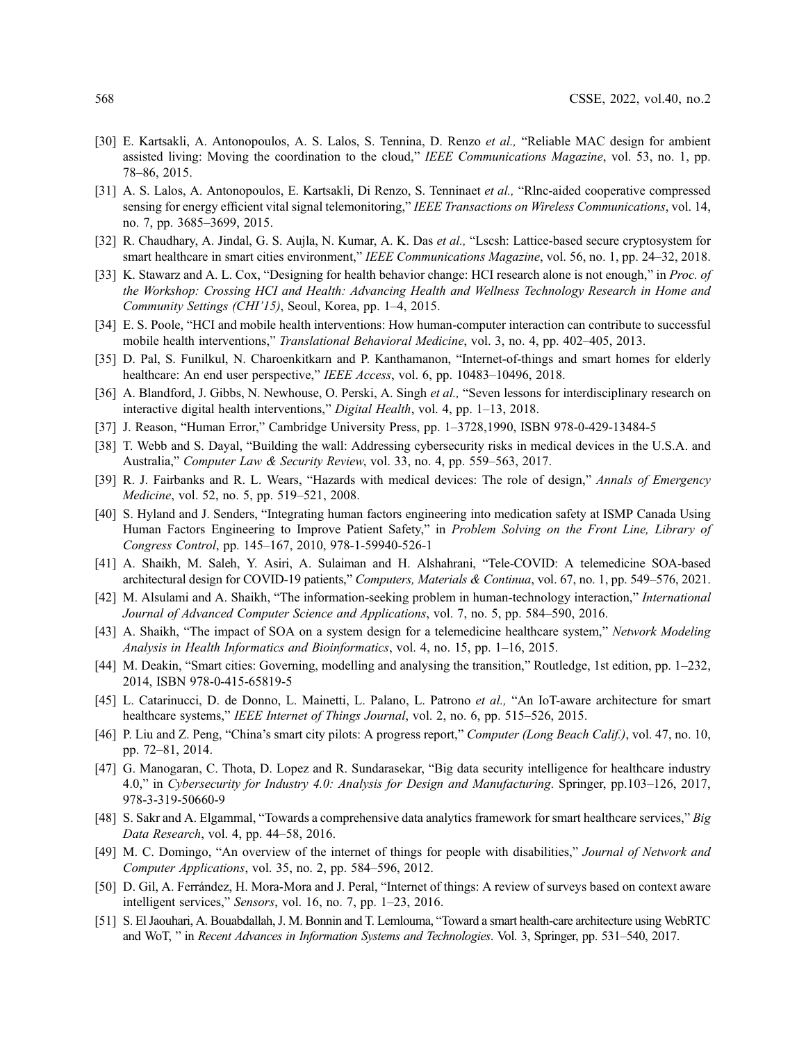- <span id="page-11-0"></span>[30] E. Kartsakli, A. Antonopoulos, A. S. Lalos, S. Tennina, D. Renzo et al., "Reliable MAC design for ambient assisted living: Moving the coordination to the cloud," IEEE Communications Magazine, vol. 53, no. 1, pp. 78–86, 2015.
- [31] A. S. Lalos, A. Antonopoulos, E. Kartsakli, Di Renzo, S. Tenninaet *et al.*, "Rlnc-aided cooperative compressed sensing for energy efficient vital signal telemonitoring," IEEE Transactions on Wireless Communications, vol. 14, no. 7, pp. 3685–3699, 2015.
- <span id="page-11-1"></span>[32] R. Chaudhary, A. Jindal, G. S. Aujla, N. Kumar, A. K. Das et al., "Lscsh: Lattice-based secure cryptosystem for smart healthcare in smart cities environment," IEEE Communications Magazine, vol. 56, no. 1, pp. 24–32, 2018.
- <span id="page-11-2"></span>[33] K. Stawarz and A. L. Cox, "Designing for health behavior change: HCI research alone is not enough," in *Proc. of* the Workshop: Crossing HCI and Health: Advancing Health and Wellness Technology Research in Home and Community Settings (CHI'15), Seoul, Korea, pp. 1–4, 2015.
- <span id="page-11-3"></span>[34] E. S. Poole, "HCI and mobile health interventions: How human-computer interaction can contribute to successful mobile health interventions," Translational Behavioral Medicine, vol. 3, no. 4, pp. 402–405, 2013.
- [35] D. Pal, S. Funilkul, N. Charoenkitkarn and P. Kanthamanon, "Internet-of-things and smart homes for elderly healthcare: An end user perspective," IEEE Access, vol. 6, pp. 10483-10496, 2018.
- [36] A. Blandford, J. Gibbs, N. Newhouse, O. Perski, A. Singh et al., "Seven lessons for interdisciplinary research on interactive digital health interventions," Digital Health, vol. 4, pp. 1–13, 2018.
- <span id="page-11-4"></span>[37] J. Reason, "Human Error," Cambridge University Press, pp. 1–3728,1990, ISBN 978-0-429-13484-5
- <span id="page-11-5"></span>[38] T. Webb and S. Dayal, "Building the wall: Addressing cybersecurity risks in medical devices in the U.S.A. and Australia," Computer Law & Security Review, vol. 33, no. 4, pp. 559–563, 2017.
- <span id="page-11-6"></span>[39] R. J. Fairbanks and R. L. Wears, "Hazards with medical devices: The role of design," Annals of Emergency Medicine, vol. 52, no. 5, pp. 519–521, 2008.
- <span id="page-11-7"></span>[40] S. Hyland and J. Senders, "Integrating human factors engineering into medication safety at ISMP Canada Using Human Factors Engineering to Improve Patient Safety," in Problem Solving on the Front Line, Library of Congress Control, pp. 145–167, 2010, 978-1-59940-526-1
- [41] A. Shaikh, M. Saleh, Y. Asiri, A. Sulaiman and H. Alshahrani, "Tele-COVID: A telemedicine SOA-based architectural design for COVID-19 patients," Computers, Materials & Continua, vol. 67, no. 1, pp. 549–576, 2021.
- [42] M. Alsulami and A. Shaikh, "The information-seeking problem in human-technology interaction," *International* Journal of Advanced Computer Science and Applications, vol. 7, no. 5, pp. 584–590, 2016.
- <span id="page-11-8"></span>[43] A. Shaikh, "The impact of SOA on a system design for a telemedicine healthcare system," Network Modeling Analysis in Health Informatics and Bioinformatics, vol. 4, no. 15, pp. 1–16, 2015.
- <span id="page-11-9"></span>[44] M. Deakin, "Smart cities: Governing, modelling and analysing the transition," Routledge, 1st edition, pp. 1–232, 2014, ISBN 978-0-415-65819-5
- <span id="page-11-10"></span>[45] L. Catarinucci, D. de Donno, L. Mainetti, L. Palano, L. Patrono et al., "An IoT-aware architecture for smart healthcare systems," IEEE Internet of Things Journal, vol. 2, no. 6, pp. 515–526, 2015.
- <span id="page-11-11"></span>[46] P. Liu and Z. Peng, "China's smart city pilots: A progress report," Computer (Long Beach Calif.), vol. 47, no. 10, pp. 72–81, 2014.
- [47] G. Manogaran, C. Thota, D. Lopez and R. Sundarasekar, "Big data security intelligence for healthcare industry 4.0," in Cybersecurity for Industry 4.0: Analysis for Design and Manufacturing. Springer, pp.103–126, 2017, 978-3-319-50660-9
- [48] S. Sakr and A. Elgammal, "Towards a comprehensive data analytics framework for smart healthcare services," Big Data Research, vol. 4, pp. 44–58, 2016.
- [49] M. C. Domingo, "An overview of the internet of things for people with disabilities," Journal of Network and Computer Applications, vol. 35, no. 2, pp. 584–596, 2012.
- [50] D. Gil, A. Ferrández, H. Mora-Mora and J. Peral, "Internet of things: A review of surveys based on context aware intelligent services," Sensors, vol. 16, no. 7, pp. 1–23, 2016.
- [51] S. El Jaouhari, A. Bouabdallah, J. M. Bonnin and T. Lemlouma, "Toward a smart health-care architecture using WebRTC and WoT, " in Recent Advances in Information Systems and Technologies. Vol. 3, Springer, pp. 531–540, 2017.